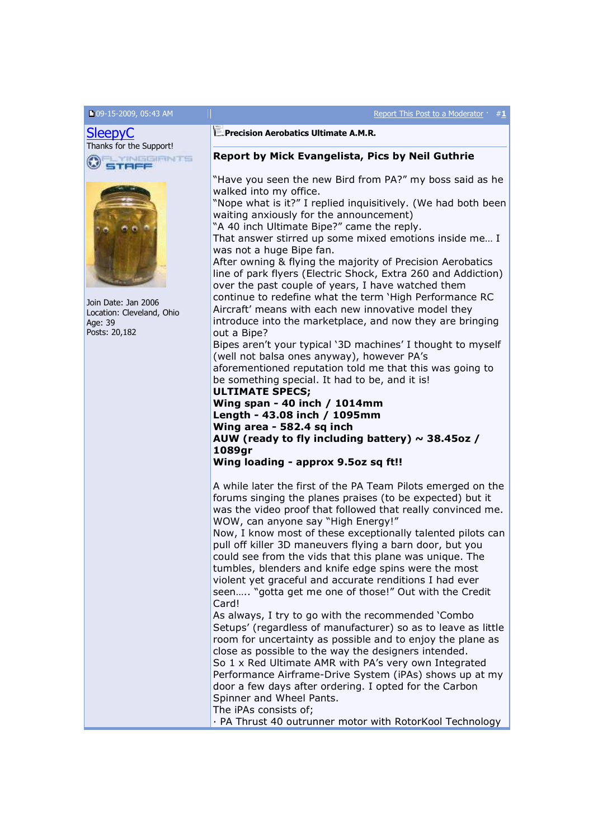| ■ 09-15-2009, 05:43 AM                                                       | Report This Post to a Moderator $\cdot$ #1                                                                                                                                                                                                                                                                                                                                                                                                                                                                                                                                                                                                                                                                                                                                                                                                                                                                                                                                                                                                                                                                                                 |
|------------------------------------------------------------------------------|--------------------------------------------------------------------------------------------------------------------------------------------------------------------------------------------------------------------------------------------------------------------------------------------------------------------------------------------------------------------------------------------------------------------------------------------------------------------------------------------------------------------------------------------------------------------------------------------------------------------------------------------------------------------------------------------------------------------------------------------------------------------------------------------------------------------------------------------------------------------------------------------------------------------------------------------------------------------------------------------------------------------------------------------------------------------------------------------------------------------------------------------|
| <b>SleepyC</b><br>Thanks for the Support!<br>O STAFF                         | Precision Aerobatics Ultimate A.M.R.                                                                                                                                                                                                                                                                                                                                                                                                                                                                                                                                                                                                                                                                                                                                                                                                                                                                                                                                                                                                                                                                                                       |
|                                                                              | Report by Mick Evangelista, Pics by Neil Guthrie                                                                                                                                                                                                                                                                                                                                                                                                                                                                                                                                                                                                                                                                                                                                                                                                                                                                                                                                                                                                                                                                                           |
| Join Date: Jan 2006<br>Location: Cleveland, Ohio<br>Age: 39<br>Posts: 20,182 | "Have you seen the new Bird from PA?" my boss said as he<br>walked into my office.<br>"Nope what is it?" I replied inquisitively. (We had both been<br>waiting anxiously for the announcement)<br>"A 40 inch Ultimate Bipe?" came the reply.<br>That answer stirred up some mixed emotions inside me I<br>was not a huge Bipe fan.<br>After owning & flying the majority of Precision Aerobatics<br>line of park flyers (Electric Shock, Extra 260 and Addiction)<br>over the past couple of years, I have watched them<br>continue to redefine what the term 'High Performance RC<br>Aircraft' means with each new innovative model they<br>introduce into the marketplace, and now they are bringing<br>out a Bipe?<br>Bipes aren't your typical '3D machines' I thought to myself<br>(well not balsa ones anyway), however PA's<br>aforementioned reputation told me that this was going to<br>be something special. It had to be, and it is!<br><b>ULTIMATE SPECS;</b><br>Wing span - 40 inch / 1014mm<br>Length - 43.08 inch / 1095mm<br>Wing area - 582.4 sq inch<br>AUW (ready to fly including battery) $\sim$ 38.45oz /           |
|                                                                              | 1089gr<br>Wing loading - approx 9.5oz sq ft!!<br>A while later the first of the PA Team Pilots emerged on the<br>forums singing the planes praises (to be expected) but it<br>was the video proof that followed that really convinced me.<br>WOW, can anyone say "High Energy!"<br>Now, I know most of these exceptionally talented pilots can<br>pull off killer 3D maneuvers flying a barn door, but you<br>could see from the vids that this plane was unique. The<br>tumbles, blenders and knife edge spins were the most<br>violent yet graceful and accurate renditions I had ever<br>seen "gotta get me one of those!" Out with the Credit<br>Card!<br>As always, I try to go with the recommended 'Combo<br>Setups' (regardless of manufacturer) so as to leave as little<br>room for uncertainty as possible and to enjoy the plane as<br>close as possible to the way the designers intended.<br>So 1 x Red Ultimate AMR with PA's very own Integrated<br>Performance Airframe-Drive System (iPAs) shows up at my<br>door a few days after ordering. I opted for the Carbon<br>Spinner and Wheel Pants.<br>The iPAs consists of; |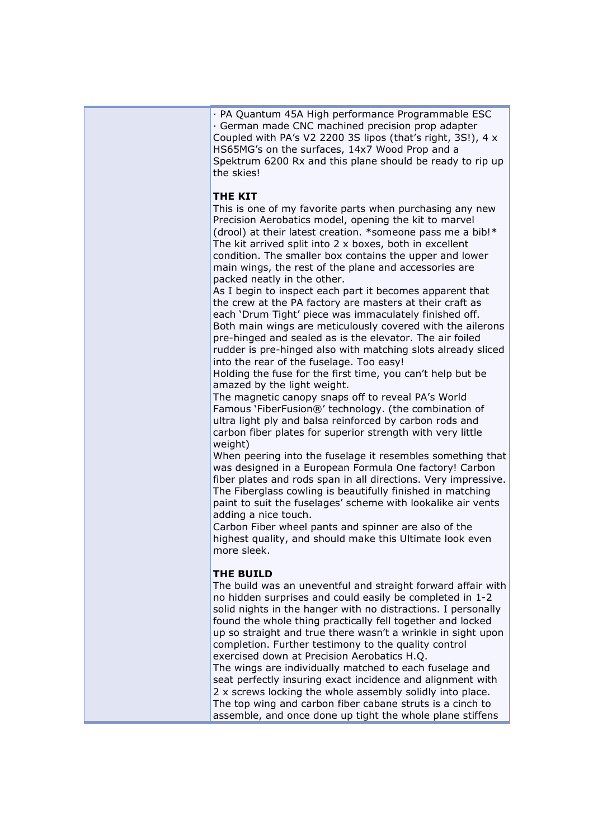· PA Quantum 45A High performance Programmable ESC · German made CNC machined precision prop adapter Coupled with PA's V2 2200 3S lipos (that's right, 3S!), 4 x HS65MG's on the surfaces, 14x7 Wood Prop and a Spektrum 6200 Rx and this plane should be ready to rip up the skies! **THE KIT** This is one of my favorite parts when purchasing any new Precision Aerobatics model, opening the kit to marvel (drool) at their latest creation.  $*$  someone pass me a bib! $*$ The kit arrived split into 2 x boxes, both in excellent condition. The smaller box contains the upper and lower main wings, the rest of the plane and accessories are packed neatly in the other. As I begin to inspect each part it becomes apparent that the crew at the PA factory are masters at their craft as each 'Drum Tight' piece was immaculately finished off. Both main wings are meticulously covered with the ailerons pre-hinged and sealed as is the elevator. The air foiled rudder is pre-hinged also with matching slots already sliced into the rear of the fuselage. Too easy! Holding the fuse for the first time, you can't help but be amazed by the light weight. The magnetic canopy snaps off to reveal PA's World Famous 'FiberFusion®' technology. (the combination of ultra light ply and balsa reinforced by carbon rods and carbon fiber plates for superior strength with very little weight) When peering into the fuselage it resembles something that was designed in a European Formula One factory! Carbon fiber plates and rods span in all directions. Very impressive. The Fiberglass cowling is beautifully finished in matching paint to suit the fuselages' scheme with lookalike air vents adding a nice touch. Carbon Fiber wheel pants and spinner are also of the highest quality, and should make this Ultimate look even more sleek. **THE BUILD** The build was an uneventful and straight forward affair with no hidden surprises and could easily be completed in 1-2 solid nights in the hanger with no distractions. I personally found the whole thing practically fell together and locked up so straight and true there wasn't a wrinkle in sight upon completion. Further testimony to the quality control exercised down at Precision Aerobatics H.Q. The wings are individually matched to each fuselage and seat perfectly insuring exact incidence and alignment with 2 x screws locking the whole assembly solidly into place. The top wing and carbon fiber cabane struts is a cinch to assemble, and once done up tight the whole plane stiffens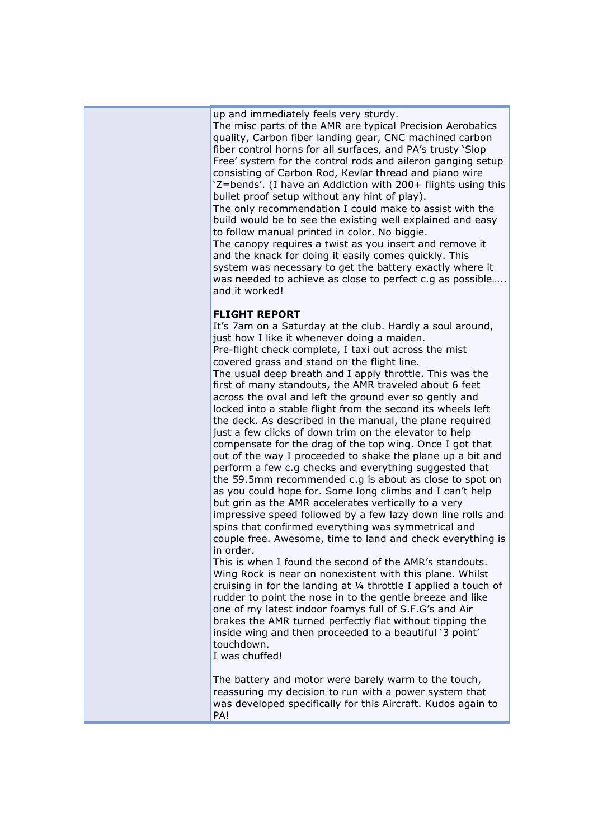up and immediately feels very sturdy. The misc parts of the AMR are typical Precision Aerobatics quality, Carbon fiber landing gear, CNC machined carbon fiber control horns for all surfaces, and PA's trusty 'Slop Free' system for the control rods and aileron ganging setup consisting of Carbon Rod, Kevlar thread and piano wire 'Z=bends'. (I have an Addiction with 200+ flights using this bullet proof setup without any hint of play).

The only recommendation I could make to assist with the build would be to see the existing well explained and easy to follow manual printed in color. No biggie.

The canopy requires a twist as you insert and remove it and the knack for doing it easily comes quickly. This system was necessary to get the battery exactly where it was needed to achieve as close to perfect c.g as possible.... and it worked!

## **FLIGHT REPORT**

It's 7am on a Saturday at the club. Hardly a soul around, just how I like it whenever doing a maiden. Pre-flight check complete, I taxi out across the mist covered grass and stand on the flight line. The usual deep breath and I apply throttle. This was the first of many standouts, the AMR traveled about 6 feet across the oval and left the ground ever so gently and locked into a stable flight from the second its wheels left the deck. As described in the manual, the plane required just a few clicks of down trim on the elevator to help compensate for the drag of the top wing. Once I got that out of the way I proceeded to shake the plane up a bit and perform a few c.g checks and everything suggested that the 59.5mm recommended c.g is about as close to spot on as you could hope for. Some long climbs and I can't help but grin as the AMR accelerates vertically to a very impressive speed followed by a few lazy down line rolls and spins that confirmed everything was symmetrical and couple free. Awesome, time to land and check everything is in order.

This is when I found the second of the AMR's standouts. Wing Rock is near on nonexistent with this plane. Whilst cruising in for the landing at ¼ throttle I applied a touch of rudder to point the nose in to the gentle breeze and like one of my latest indoor foamys full of S.F.G's and Air brakes the AMR turned perfectly flat without tipping the inside wing and then proceeded to a beautiful '3 point' touchdown.

I was chuffed!

The battery and motor were barely warm to the touch, reassuring my decision to run with a power system that was developed specifically for this Aircraft. Kudos again to PA!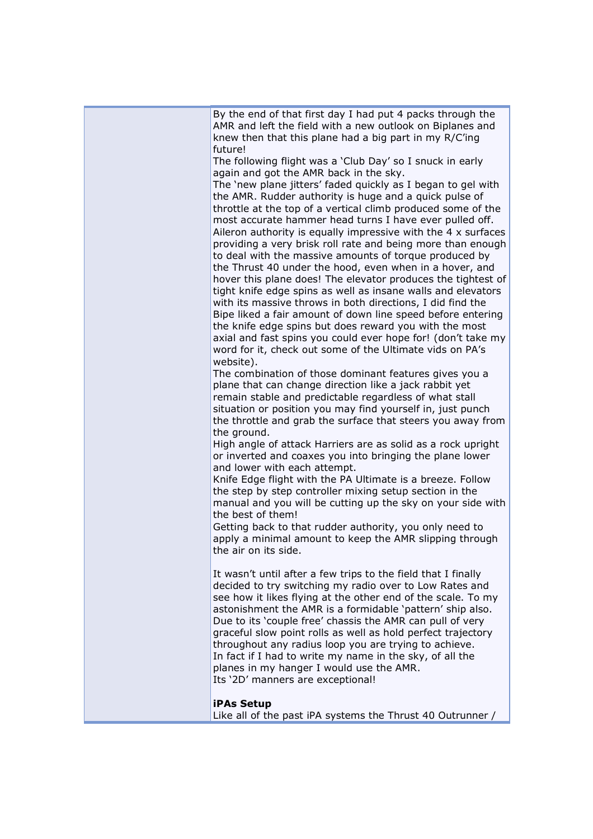| By the end of that first day I had put 4 packs through the<br>AMR and left the field with a new outlook on Biplanes and<br>knew then that this plane had a big part in my R/C'ing<br>future!<br>The following flight was a 'Club Day' so I snuck in early<br>again and got the AMR back in the sky.<br>The 'new plane jitters' faded quickly as I began to gel with<br>the AMR. Rudder authority is huge and a quick pulse of<br>throttle at the top of a vertical climb produced some of the<br>most accurate hammer head turns I have ever pulled off.<br>Aileron authority is equally impressive with the 4 x surfaces<br>providing a very brisk roll rate and being more than enough<br>to deal with the massive amounts of torque produced by<br>the Thrust 40 under the hood, even when in a hover, and<br>hover this plane does! The elevator produces the tightest of<br>tight knife edge spins as well as insane walls and elevators<br>with its massive throws in both directions, I did find the<br>Bipe liked a fair amount of down line speed before entering<br>the knife edge spins but does reward you with the most<br>axial and fast spins you could ever hope for! (don't take my<br>word for it, check out some of the Ultimate vids on PA's<br>website).<br>The combination of those dominant features gives you a<br>plane that can change direction like a jack rabbit yet<br>remain stable and predictable regardless of what stall<br>situation or position you may find yourself in, just punch<br>the throttle and grab the surface that steers you away from<br>the ground.<br>High angle of attack Harriers are as solid as a rock upright<br>or inverted and coaxes you into bringing the plane lower<br>and lower with each attempt.<br>Knife Edge flight with the PA Ultimate is a breeze. Follow<br>the step by step controller mixing setup section in the<br>manual and you will be cutting up the sky on your side with |
|-------------------------------------------------------------------------------------------------------------------------------------------------------------------------------------------------------------------------------------------------------------------------------------------------------------------------------------------------------------------------------------------------------------------------------------------------------------------------------------------------------------------------------------------------------------------------------------------------------------------------------------------------------------------------------------------------------------------------------------------------------------------------------------------------------------------------------------------------------------------------------------------------------------------------------------------------------------------------------------------------------------------------------------------------------------------------------------------------------------------------------------------------------------------------------------------------------------------------------------------------------------------------------------------------------------------------------------------------------------------------------------------------------------------------------------------------------------------------------------------------------------------------------------------------------------------------------------------------------------------------------------------------------------------------------------------------------------------------------------------------------------------------------------------------------------------------------------------------------------------------------------------------------------------------------------------------------------|
| the best of them!<br>Getting back to that rudder authority, you only need to<br>apply a minimal amount to keep the AMR slipping through<br>the air on its side.                                                                                                                                                                                                                                                                                                                                                                                                                                                                                                                                                                                                                                                                                                                                                                                                                                                                                                                                                                                                                                                                                                                                                                                                                                                                                                                                                                                                                                                                                                                                                                                                                                                                                                                                                                                             |
| It wasn't until after a few trips to the field that I finally<br>decided to try switching my radio over to Low Rates and<br>see how it likes flying at the other end of the scale. To my<br>astonishment the AMR is a formidable 'pattern' ship also.<br>Due to its 'couple free' chassis the AMR can pull of very<br>graceful slow point rolls as well as hold perfect trajectory<br>throughout any radius loop you are trying to achieve.<br>In fact if I had to write my name in the sky, of all the<br>planes in my hanger I would use the AMR.<br>Its '2D' manners are exceptional!                                                                                                                                                                                                                                                                                                                                                                                                                                                                                                                                                                                                                                                                                                                                                                                                                                                                                                                                                                                                                                                                                                                                                                                                                                                                                                                                                                    |
| <b>iPAs Setup</b><br>Like all of the past iPA systems the Thrust 40 Outrunner /                                                                                                                                                                                                                                                                                                                                                                                                                                                                                                                                                                                                                                                                                                                                                                                                                                                                                                                                                                                                                                                                                                                                                                                                                                                                                                                                                                                                                                                                                                                                                                                                                                                                                                                                                                                                                                                                             |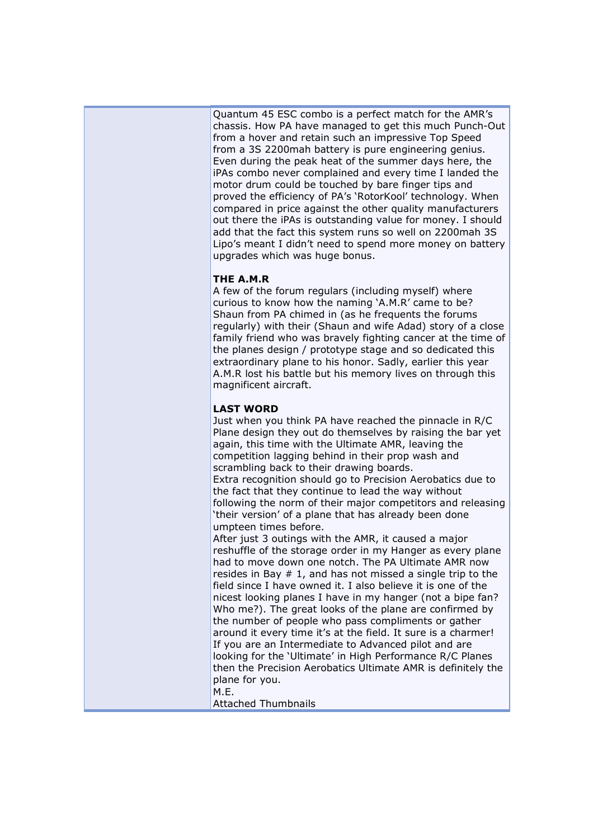Quantum 45 ESC combo is a perfect match for the AMR's chassis. How PA have managed to get this much Punch-Out from a hover and retain such an impressive Top Speed from a 3S 2200mah battery is pure engineering genius. Even during the peak heat of the summer days here, the iPAs combo never complained and every time I landed the motor drum could be touched by bare finger tips and proved the efficiency of PA's 'RotorKool' technology. When compared in price against the other quality manufacturers out there the iPAs is outstanding value for money. I should add that the fact this system runs so well on 2200mah 3S Lipo's meant I didn't need to spend more money on battery upgrades which was huge bonus.

## **THE A.M.R**

A few of the forum regulars (including myself) where curious to know how the naming 'A.M.R' came to be? Shaun from PA chimed in (as he frequents the forums regularly) with their (Shaun and wife Adad) story of a close family friend who was bravely fighting cancer at the time of the planes design / prototype stage and so dedicated this extraordinary plane to his honor. Sadly, earlier this year A.M.R lost his battle but his memory lives on through this magnificent aircraft.

## **LAST WORD**

Just when you think PA have reached the pinnacle in R/C Plane design they out do themselves by raising the bar yet again, this time with the Ultimate AMR, leaving the competition lagging behind in their prop wash and scrambling back to their drawing boards. Extra recognition should go to Precision Aerobatics due to the fact that they continue to lead the way without following the norm of their major competitors and releasing 'their version' of a plane that has already been done umpteen times before. After just 3 outings with the AMR, it caused a major

reshuffle of the storage order in my Hanger as every plane had to move down one notch. The PA Ultimate AMR now resides in Bay # 1, and has not missed a single trip to the field since I have owned it. I also believe it is one of the nicest looking planes I have in my hanger (not a bipe fan? Who me?). The great looks of the plane are confirmed by the number of people who pass compliments or gather around it every time it's at the field. It sure is a charmer! If you are an Intermediate to Advanced pilot and are looking for the 'Ultimate' in High Performance R/C Planes then the Precision Aerobatics Ultimate AMR is definitely the plane for you.

M.E.

Attached Thumbnails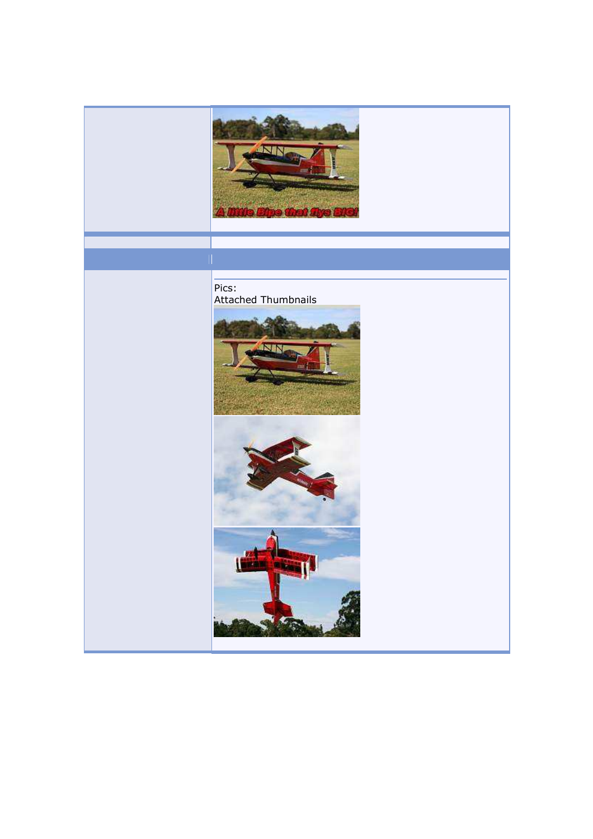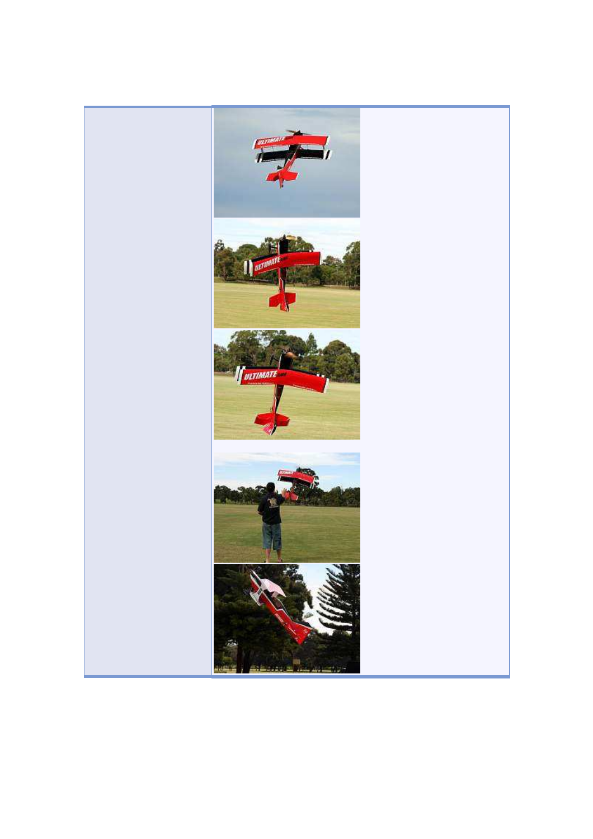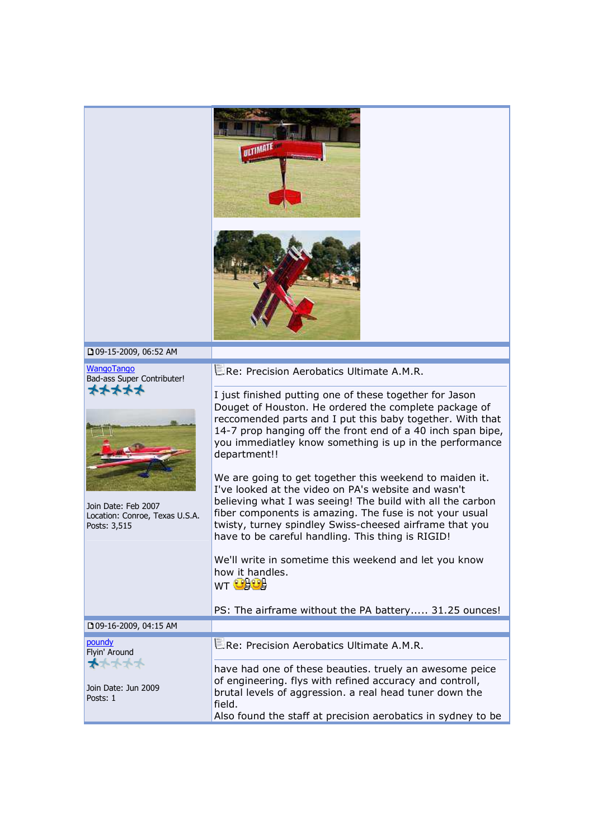| □ 09-15-2009, 06:52 AM                                                                                                            |                                                                                                                                                                                                                                                                                                                                                                                                                                                                                                                                                                                                                                                                                                                                                                                                                                                                                           |
|-----------------------------------------------------------------------------------------------------------------------------------|-------------------------------------------------------------------------------------------------------------------------------------------------------------------------------------------------------------------------------------------------------------------------------------------------------------------------------------------------------------------------------------------------------------------------------------------------------------------------------------------------------------------------------------------------------------------------------------------------------------------------------------------------------------------------------------------------------------------------------------------------------------------------------------------------------------------------------------------------------------------------------------------|
| <b>WangoTango</b><br>Bad-ass Super Contributer!<br>*****<br>Join Date: Feb 2007<br>Location: Conroe, Texas U.S.A.<br>Posts: 3,515 | Re: Precision Aerobatics Ultimate A.M.R.<br>I just finished putting one of these together for Jason<br>Douget of Houston. He ordered the complete package of<br>reccomended parts and I put this baby together. With that<br>14-7 prop hanging off the front end of a 40 inch span bipe,<br>you immediatley know something is up in the performance<br>department!!<br>We are going to get together this weekend to maiden it.<br>I've looked at the video on PA's website and wasn't<br>believing what I was seeing! The build with all the carbon<br>fiber components is amazing. The fuse is not your usual<br>twisty, turney spindley Swiss-cheesed airframe that you<br>have to be careful handling. This thing is RIGID!<br>We'll write in sometime this weekend and let you know<br>how it handles.<br>WT <sup>OLOL</sup><br>PS: The airframe without the PA battery 31.25 ounces! |
| □ 09-16-2009, 04:15 AM                                                                                                            |                                                                                                                                                                                                                                                                                                                                                                                                                                                                                                                                                                                                                                                                                                                                                                                                                                                                                           |
| poundy<br>Flyin' Around<br>ネネネネネ<br>Join Date: Jun 2009<br>Posts: 1                                                               | <b>L.Re: Precision Aerobatics Ultimate A.M.R.</b><br>have had one of these beauties. truely an awesome peice<br>of engineering. flys with refined accuracy and controll,<br>brutal levels of aggression. a real head tuner down the<br>field.<br>Also found the staff at precision aerobatics in sydney to be                                                                                                                                                                                                                                                                                                                                                                                                                                                                                                                                                                             |